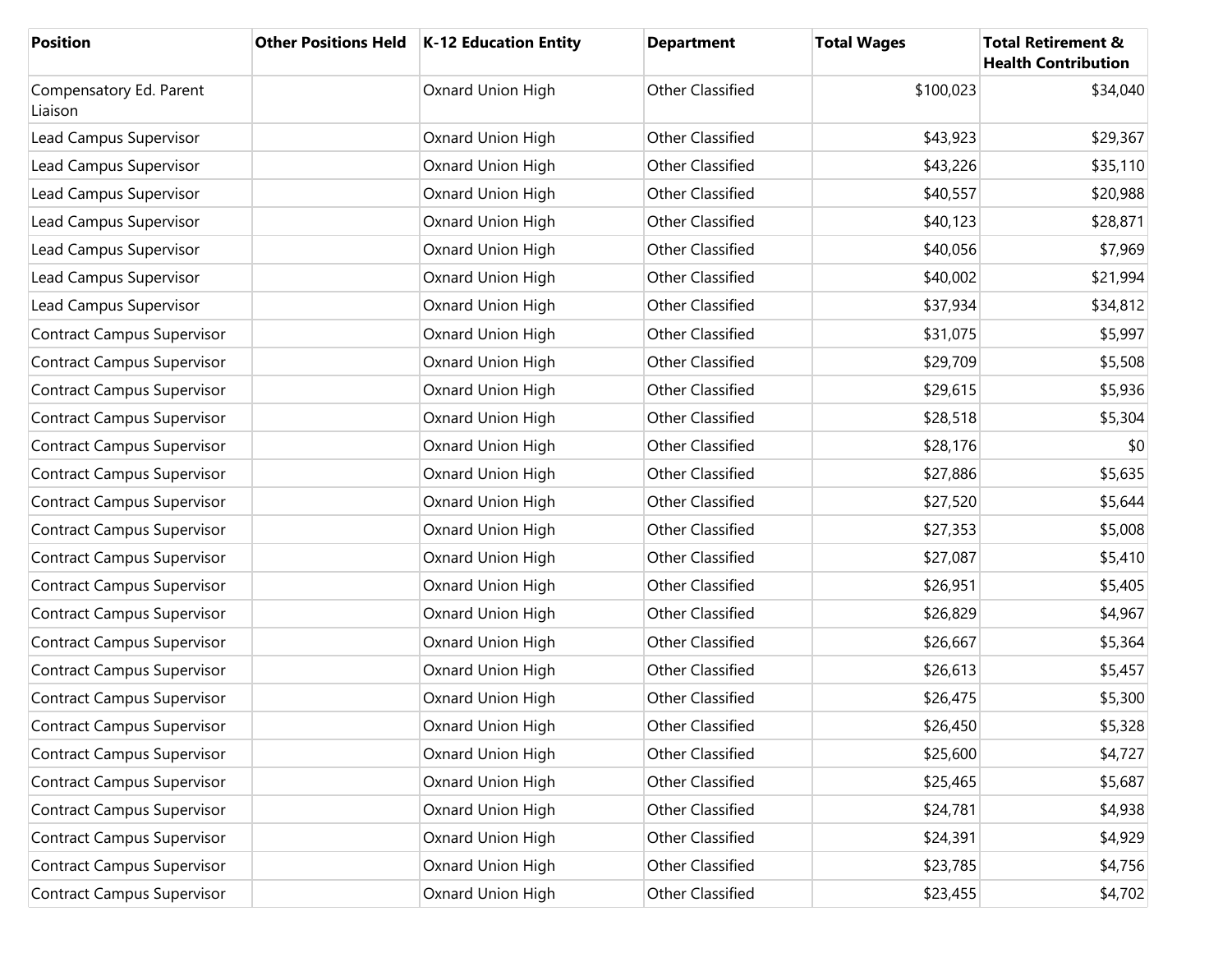| <b>Position</b>                    | Other Positions Held   K-12 Education Entity | <b>Department</b>       | <b>Total Wages</b> | <b>Total Retirement &amp;</b><br><b>Health Contribution</b> |
|------------------------------------|----------------------------------------------|-------------------------|--------------------|-------------------------------------------------------------|
| Compensatory Ed. Parent<br>Liaison | Oxnard Union High                            | <b>Other Classified</b> | \$100,023          | \$34,040                                                    |
| Lead Campus Supervisor             | Oxnard Union High                            | <b>Other Classified</b> | \$43,923           | \$29,367                                                    |
| Lead Campus Supervisor             | Oxnard Union High                            | <b>Other Classified</b> | \$43,226           | \$35,110                                                    |
| Lead Campus Supervisor             | Oxnard Union High                            | <b>Other Classified</b> | \$40,557           | \$20,988                                                    |
| Lead Campus Supervisor             | Oxnard Union High                            | <b>Other Classified</b> | \$40,123           | \$28,871                                                    |
| Lead Campus Supervisor             | Oxnard Union High                            | <b>Other Classified</b> | \$40,056           | \$7,969                                                     |
| Lead Campus Supervisor             | Oxnard Union High                            | <b>Other Classified</b> | \$40,002           | \$21,994                                                    |
| Lead Campus Supervisor             | Oxnard Union High                            | <b>Other Classified</b> | \$37,934           | \$34,812                                                    |
| <b>Contract Campus Supervisor</b>  | Oxnard Union High                            | <b>Other Classified</b> | \$31,075           | \$5,997                                                     |
| <b>Contract Campus Supervisor</b>  | Oxnard Union High                            | <b>Other Classified</b> | \$29,709           | \$5,508                                                     |
| <b>Contract Campus Supervisor</b>  | Oxnard Union High                            | <b>Other Classified</b> | \$29,615           | \$5,936                                                     |
| <b>Contract Campus Supervisor</b>  | Oxnard Union High                            | <b>Other Classified</b> | \$28,518           | \$5,304                                                     |
| <b>Contract Campus Supervisor</b>  | Oxnard Union High                            | <b>Other Classified</b> | \$28,176           | \$0                                                         |
| <b>Contract Campus Supervisor</b>  | Oxnard Union High                            | <b>Other Classified</b> | \$27,886           | \$5,635                                                     |
| <b>Contract Campus Supervisor</b>  | Oxnard Union High                            | <b>Other Classified</b> | \$27,520           | \$5,644                                                     |
| <b>Contract Campus Supervisor</b>  | Oxnard Union High                            | <b>Other Classified</b> | \$27,353           | \$5,008                                                     |
| <b>Contract Campus Supervisor</b>  | Oxnard Union High                            | <b>Other Classified</b> | \$27,087           | \$5,410                                                     |
| <b>Contract Campus Supervisor</b>  | Oxnard Union High                            | <b>Other Classified</b> | \$26,951           | \$5,405                                                     |
| <b>Contract Campus Supervisor</b>  | Oxnard Union High                            | <b>Other Classified</b> | \$26,829           | \$4,967                                                     |
| <b>Contract Campus Supervisor</b>  | Oxnard Union High                            | <b>Other Classified</b> | \$26,667           | \$5,364                                                     |
| <b>Contract Campus Supervisor</b>  | Oxnard Union High                            | <b>Other Classified</b> | \$26,613           | \$5,457                                                     |
| <b>Contract Campus Supervisor</b>  | Oxnard Union High                            | <b>Other Classified</b> | \$26,475           | \$5,300                                                     |
| <b>Contract Campus Supervisor</b>  | Oxnard Union High                            | Other Classified        | \$26,450           | \$5,328                                                     |
| <b>Contract Campus Supervisor</b>  | Oxnard Union High                            | <b>Other Classified</b> | \$25,600           | \$4,727                                                     |
| <b>Contract Campus Supervisor</b>  | Oxnard Union High                            | Other Classified        | \$25,465           | \$5,687                                                     |
| <b>Contract Campus Supervisor</b>  | Oxnard Union High                            | Other Classified        | \$24,781           | \$4,938                                                     |
| <b>Contract Campus Supervisor</b>  | Oxnard Union High                            | Other Classified        | \$24,391           | \$4,929                                                     |
| <b>Contract Campus Supervisor</b>  | Oxnard Union High                            | Other Classified        | \$23,785           | \$4,756                                                     |
| <b>Contract Campus Supervisor</b>  | Oxnard Union High                            | Other Classified        | \$23,455           | \$4,702                                                     |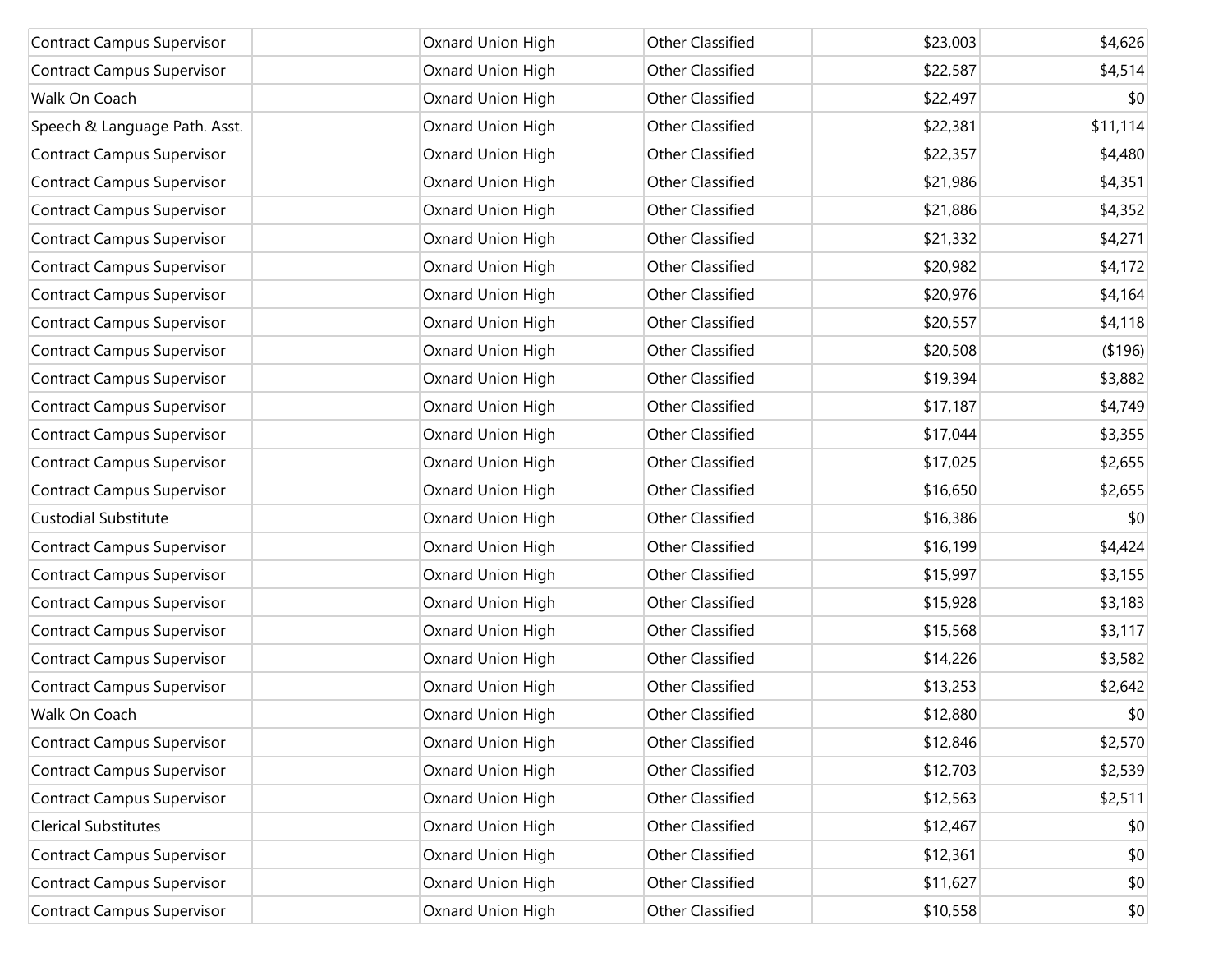| <b>Contract Campus Supervisor</b> | Oxnard Union High | <b>Other Classified</b> | \$23,003 | \$4,626  |
|-----------------------------------|-------------------|-------------------------|----------|----------|
| <b>Contract Campus Supervisor</b> | Oxnard Union High | <b>Other Classified</b> | \$22,587 | \$4,514  |
| Walk On Coach                     | Oxnard Union High | Other Classified        | \$22,497 | \$0      |
| Speech & Language Path. Asst.     | Oxnard Union High | Other Classified        | \$22,381 | \$11,114 |
| <b>Contract Campus Supervisor</b> | Oxnard Union High | <b>Other Classified</b> | \$22,357 | \$4,480  |
| <b>Contract Campus Supervisor</b> | Oxnard Union High | <b>Other Classified</b> | \$21,986 | \$4,351  |
| <b>Contract Campus Supervisor</b> | Oxnard Union High | <b>Other Classified</b> | \$21,886 | \$4,352  |
| <b>Contract Campus Supervisor</b> | Oxnard Union High | Other Classified        | \$21,332 | \$4,271  |
| <b>Contract Campus Supervisor</b> | Oxnard Union High | <b>Other Classified</b> | \$20,982 | \$4,172  |
| <b>Contract Campus Supervisor</b> | Oxnard Union High | <b>Other Classified</b> | \$20,976 | \$4,164  |
| <b>Contract Campus Supervisor</b> | Oxnard Union High | <b>Other Classified</b> | \$20,557 | \$4,118  |
| <b>Contract Campus Supervisor</b> | Oxnard Union High | Other Classified        | \$20,508 | ( \$196) |
| <b>Contract Campus Supervisor</b> | Oxnard Union High | <b>Other Classified</b> | \$19,394 | \$3,882  |
| <b>Contract Campus Supervisor</b> | Oxnard Union High | <b>Other Classified</b> | \$17,187 | \$4,749  |
| <b>Contract Campus Supervisor</b> | Oxnard Union High | <b>Other Classified</b> | \$17,044 | \$3,355  |
| <b>Contract Campus Supervisor</b> | Oxnard Union High | Other Classified        | \$17,025 | \$2,655  |
| <b>Contract Campus Supervisor</b> | Oxnard Union High | <b>Other Classified</b> | \$16,650 | \$2,655  |
| Custodial Substitute              | Oxnard Union High | Other Classified        | \$16,386 | \$0      |
| <b>Contract Campus Supervisor</b> | Oxnard Union High | <b>Other Classified</b> | \$16,199 | \$4,424  |
| <b>Contract Campus Supervisor</b> | Oxnard Union High | Other Classified        | \$15,997 | \$3,155  |
| <b>Contract Campus Supervisor</b> | Oxnard Union High | Other Classified        | \$15,928 | \$3,183  |
| <b>Contract Campus Supervisor</b> | Oxnard Union High | Other Classified        | \$15,568 | \$3,117  |
| <b>Contract Campus Supervisor</b> | Oxnard Union High | <b>Other Classified</b> | \$14,226 | \$3,582  |
| <b>Contract Campus Supervisor</b> | Oxnard Union High | Other Classified        | \$13,253 | \$2,642  |
| Walk On Coach                     | Oxnard Union High | <b>Other Classified</b> | \$12,880 | \$0      |
| <b>Contract Campus Supervisor</b> | Oxnard Union High | Other Classified        | \$12,846 | \$2,570  |
| <b>Contract Campus Supervisor</b> | Oxnard Union High | Other Classified        | \$12,703 | \$2,539  |
| <b>Contract Campus Supervisor</b> | Oxnard Union High | Other Classified        | \$12,563 | \$2,511  |
| <b>Clerical Substitutes</b>       | Oxnard Union High | Other Classified        | \$12,467 | \$0      |
| <b>Contract Campus Supervisor</b> | Oxnard Union High | Other Classified        | \$12,361 | \$0      |
| <b>Contract Campus Supervisor</b> | Oxnard Union High | Other Classified        | \$11,627 | \$0      |
| <b>Contract Campus Supervisor</b> | Oxnard Union High | Other Classified        | \$10,558 | \$0      |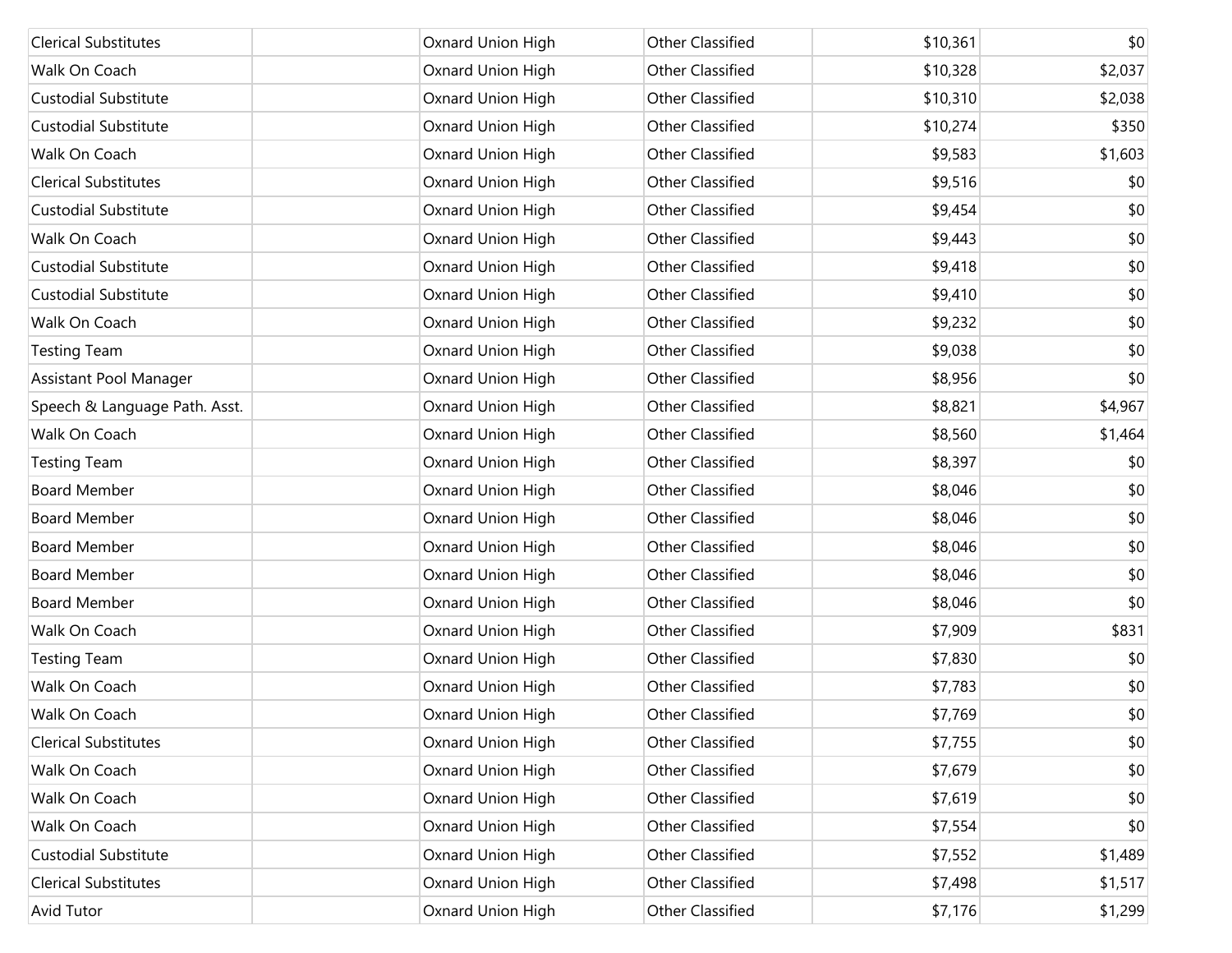| <b>Clerical Substitutes</b>   | Oxnard Union High | <b>Other Classified</b> | \$10,361 | \$0     |
|-------------------------------|-------------------|-------------------------|----------|---------|
| Walk On Coach                 | Oxnard Union High | <b>Other Classified</b> | \$10,328 | \$2,037 |
| <b>Custodial Substitute</b>   | Oxnard Union High | <b>Other Classified</b> | \$10,310 | \$2,038 |
| <b>Custodial Substitute</b>   | Oxnard Union High | <b>Other Classified</b> | \$10,274 | \$350   |
| Walk On Coach                 | Oxnard Union High | <b>Other Classified</b> | \$9,583  | \$1,603 |
| <b>Clerical Substitutes</b>   | Oxnard Union High | Other Classified        | \$9,516  | \$0     |
| <b>Custodial Substitute</b>   | Oxnard Union High | <b>Other Classified</b> | \$9,454  | \$0     |
| Walk On Coach                 | Oxnard Union High | <b>Other Classified</b> | \$9,443  | \$0     |
| <b>Custodial Substitute</b>   | Oxnard Union High | <b>Other Classified</b> | \$9,418  | \$0     |
| <b>Custodial Substitute</b>   | Oxnard Union High | <b>Other Classified</b> | \$9,410  | \$0     |
| Walk On Coach                 | Oxnard Union High | <b>Other Classified</b> | \$9,232  | \$0     |
| <b>Testing Team</b>           | Oxnard Union High | Other Classified        | \$9,038  | \$0     |
| Assistant Pool Manager        | Oxnard Union High | <b>Other Classified</b> | \$8,956  | \$0     |
| Speech & Language Path. Asst. | Oxnard Union High | <b>Other Classified</b> | \$8,821  | \$4,967 |
| Walk On Coach                 | Oxnard Union High | <b>Other Classified</b> | \$8,560  | \$1,464 |
| <b>Testing Team</b>           | Oxnard Union High | <b>Other Classified</b> | \$8,397  | \$0     |
| <b>Board Member</b>           | Oxnard Union High | <b>Other Classified</b> | \$8,046  | \$0     |
| <b>Board Member</b>           | Oxnard Union High | Other Classified        | \$8,046  | \$0     |
| <b>Board Member</b>           | Oxnard Union High | <b>Other Classified</b> | \$8,046  | \$0     |
| <b>Board Member</b>           | Oxnard Union High | Other Classified        | \$8,046  | \$0     |
| <b>Board Member</b>           | Oxnard Union High | <b>Other Classified</b> | \$8,046  | \$0     |
| Walk On Coach                 | Oxnard Union High | Other Classified        | \$7,909  | \$831   |
| <b>Testing Team</b>           | Oxnard Union High | Other Classified        | \$7,830  | \$0     |
| Walk On Coach                 | Oxnard Union High | Other Classified        | \$7,783  | \$0     |
| Walk On Coach                 | Oxnard Union High | <b>Other Classified</b> | \$7,769  | \$0     |
| <b>Clerical Substitutes</b>   | Oxnard Union High | Other Classified        | \$7,755  | \$0     |
| Walk On Coach                 | Oxnard Union High | Other Classified        | \$7,679  | \$0     |
| Walk On Coach                 | Oxnard Union High | Other Classified        | \$7,619  | \$0     |
| Walk On Coach                 | Oxnard Union High | Other Classified        | \$7,554  | \$0     |
| <b>Custodial Substitute</b>   | Oxnard Union High | Other Classified        | \$7,552  | \$1,489 |
| <b>Clerical Substitutes</b>   | Oxnard Union High | Other Classified        | \$7,498  | \$1,517 |
| Avid Tutor                    | Oxnard Union High | Other Classified        | \$7,176  | \$1,299 |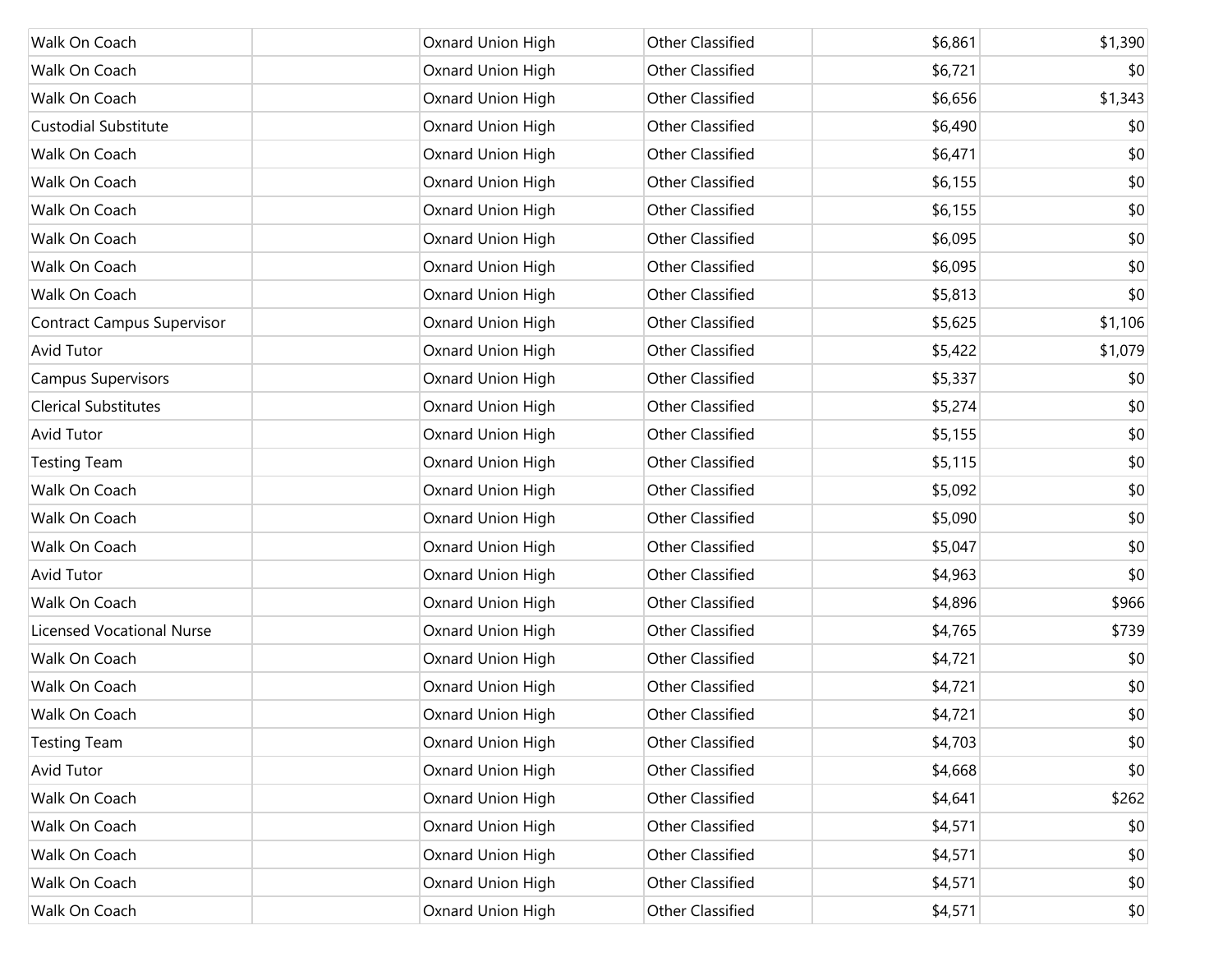| Walk On Coach                     | Oxnard Union High | <b>Other Classified</b> | \$6,861 | \$1,390 |
|-----------------------------------|-------------------|-------------------------|---------|---------|
| Walk On Coach                     | Oxnard Union High | <b>Other Classified</b> | \$6,721 | \$0     |
| Walk On Coach                     | Oxnard Union High | <b>Other Classified</b> | \$6,656 | \$1,343 |
| <b>Custodial Substitute</b>       | Oxnard Union High | <b>Other Classified</b> | \$6,490 | \$0     |
| Walk On Coach                     | Oxnard Union High | Other Classified        | \$6,471 | \$0     |
| Walk On Coach                     | Oxnard Union High | Other Classified        | \$6,155 | \$0     |
| Walk On Coach                     | Oxnard Union High | <b>Other Classified</b> | \$6,155 | \$0     |
| Walk On Coach                     | Oxnard Union High | Other Classified        | \$6,095 | \$0     |
| Walk On Coach                     | Oxnard Union High | <b>Other Classified</b> | \$6,095 | \$0     |
| Walk On Coach                     | Oxnard Union High | Other Classified        | \$5,813 | \$0     |
| <b>Contract Campus Supervisor</b> | Oxnard Union High | Other Classified        | \$5,625 | \$1,106 |
| <b>Avid Tutor</b>                 | Oxnard Union High | Other Classified        | \$5,422 | \$1,079 |
| <b>Campus Supervisors</b>         | Oxnard Union High | <b>Other Classified</b> | \$5,337 | \$0     |
| <b>Clerical Substitutes</b>       | Oxnard Union High | Other Classified        | \$5,274 | \$0     |
| <b>Avid Tutor</b>                 | Oxnard Union High | <b>Other Classified</b> | \$5,155 | \$0     |
| <b>Testing Team</b>               | Oxnard Union High | Other Classified        | \$5,115 | \$0     |
| Walk On Coach                     | Oxnard Union High | <b>Other Classified</b> | \$5,092 | \$0     |
| Walk On Coach                     | Oxnard Union High | Other Classified        | \$5,090 | \$0     |
| Walk On Coach                     | Oxnard Union High | <b>Other Classified</b> | \$5,047 | \$0     |
| <b>Avid Tutor</b>                 | Oxnard Union High | Other Classified        | \$4,963 | \$0     |
| Walk On Coach                     | Oxnard Union High | <b>Other Classified</b> | \$4,896 | \$966   |
| <b>Licensed Vocational Nurse</b>  | Oxnard Union High | Other Classified        | \$4,765 | \$739   |
| Walk On Coach                     | Oxnard Union High | Other Classified        | \$4,721 | \$0     |
| Walk On Coach                     | Oxnard Union High | Other Classified        | \$4,721 | \$0     |
| Walk On Coach                     | Oxnard Union High | <b>Other Classified</b> | \$4,721 | \$0     |
| <b>Testing Team</b>               | Oxnard Union High | Other Classified        | \$4,703 | \$0     |
| <b>Avid Tutor</b>                 | Oxnard Union High | Other Classified        | \$4,668 | \$0     |
| Walk On Coach                     | Oxnard Union High | Other Classified        | \$4,641 | \$262   |
| Walk On Coach                     | Oxnard Union High | Other Classified        | \$4,571 | \$0     |
| Walk On Coach                     | Oxnard Union High | Other Classified        | \$4,571 | \$0     |
| Walk On Coach                     | Oxnard Union High | Other Classified        | \$4,571 | \$0     |
| Walk On Coach                     | Oxnard Union High | Other Classified        | \$4,571 | \$0     |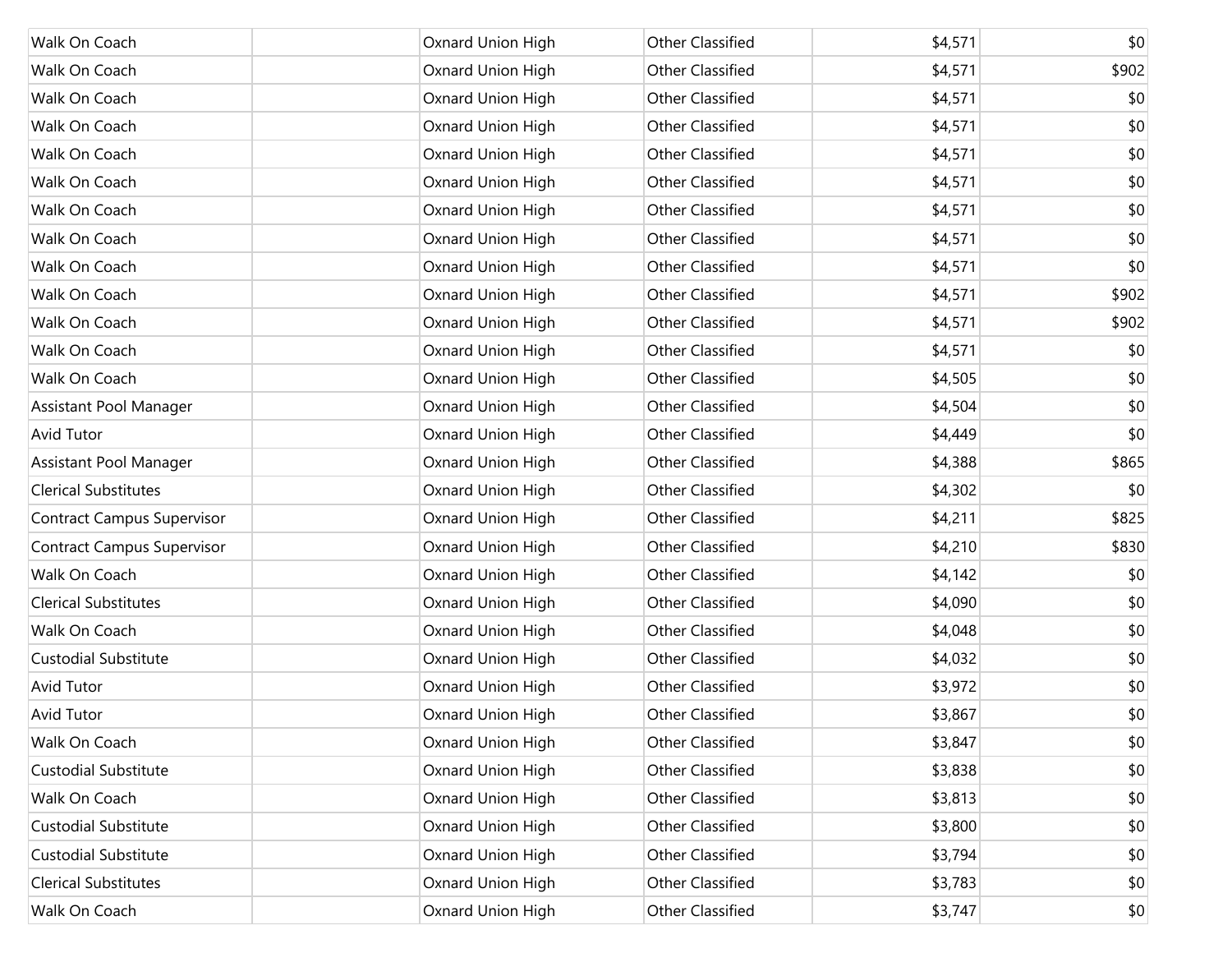| Walk On Coach                     | Oxnard Union High | <b>Other Classified</b> | \$4,571 | \$0   |
|-----------------------------------|-------------------|-------------------------|---------|-------|
| Walk On Coach                     | Oxnard Union High | <b>Other Classified</b> | \$4,571 | \$902 |
| Walk On Coach                     | Oxnard Union High | <b>Other Classified</b> | \$4,571 | \$0   |
| Walk On Coach                     | Oxnard Union High | <b>Other Classified</b> | \$4,571 | \$0   |
| Walk On Coach                     | Oxnard Union High | <b>Other Classified</b> | \$4,571 | \$0   |
| Walk On Coach                     | Oxnard Union High | <b>Other Classified</b> | \$4,571 | \$0   |
| Walk On Coach                     | Oxnard Union High | <b>Other Classified</b> | \$4,571 | \$0   |
| Walk On Coach                     | Oxnard Union High | <b>Other Classified</b> | \$4,571 | \$0   |
| Walk On Coach                     | Oxnard Union High | <b>Other Classified</b> | \$4,571 | \$0   |
| Walk On Coach                     | Oxnard Union High | <b>Other Classified</b> | \$4,571 | \$902 |
| Walk On Coach                     | Oxnard Union High | <b>Other Classified</b> | \$4,571 | \$902 |
| Walk On Coach                     | Oxnard Union High | <b>Other Classified</b> | \$4,571 | \$0   |
| Walk On Coach                     | Oxnard Union High | <b>Other Classified</b> | \$4,505 | \$0   |
| Assistant Pool Manager            | Oxnard Union High | <b>Other Classified</b> | \$4,504 | \$0   |
| <b>Avid Tutor</b>                 | Oxnard Union High | <b>Other Classified</b> | \$4,449 | \$0   |
| Assistant Pool Manager            | Oxnard Union High | <b>Other Classified</b> | \$4,388 | \$865 |
| <b>Clerical Substitutes</b>       | Oxnard Union High | <b>Other Classified</b> | \$4,302 | \$0   |
| <b>Contract Campus Supervisor</b> | Oxnard Union High | <b>Other Classified</b> | \$4,211 | \$825 |
| <b>Contract Campus Supervisor</b> | Oxnard Union High | <b>Other Classified</b> | \$4,210 | \$830 |
| Walk On Coach                     | Oxnard Union High | <b>Other Classified</b> | \$4,142 | \$0   |
| <b>Clerical Substitutes</b>       | Oxnard Union High | <b>Other Classified</b> | \$4,090 | \$0   |
| Walk On Coach                     | Oxnard Union High | <b>Other Classified</b> | \$4,048 | \$0   |
| <b>Custodial Substitute</b>       | Oxnard Union High | <b>Other Classified</b> | \$4,032 | \$0   |
| <b>Avid Tutor</b>                 | Oxnard Union High | <b>Other Classified</b> | \$3,972 | \$0   |
| Avid Tutor                        | Oxnard Union High | <b>Other Classified</b> | \$3,867 | \$0   |
| Walk On Coach                     | Oxnard Union High | Other Classified        | \$3,847 | \$0   |
| Custodial Substitute              | Oxnard Union High | Other Classified        | \$3,838 | \$0   |
| Walk On Coach                     | Oxnard Union High | Other Classified        | \$3,813 | \$0   |
| Custodial Substitute              | Oxnard Union High | Other Classified        | \$3,800 | \$0   |
| Custodial Substitute              | Oxnard Union High | Other Classified        | \$3,794 | \$0   |
| <b>Clerical Substitutes</b>       | Oxnard Union High | Other Classified        | \$3,783 | \$0   |
| Walk On Coach                     | Oxnard Union High | Other Classified        | \$3,747 | \$0   |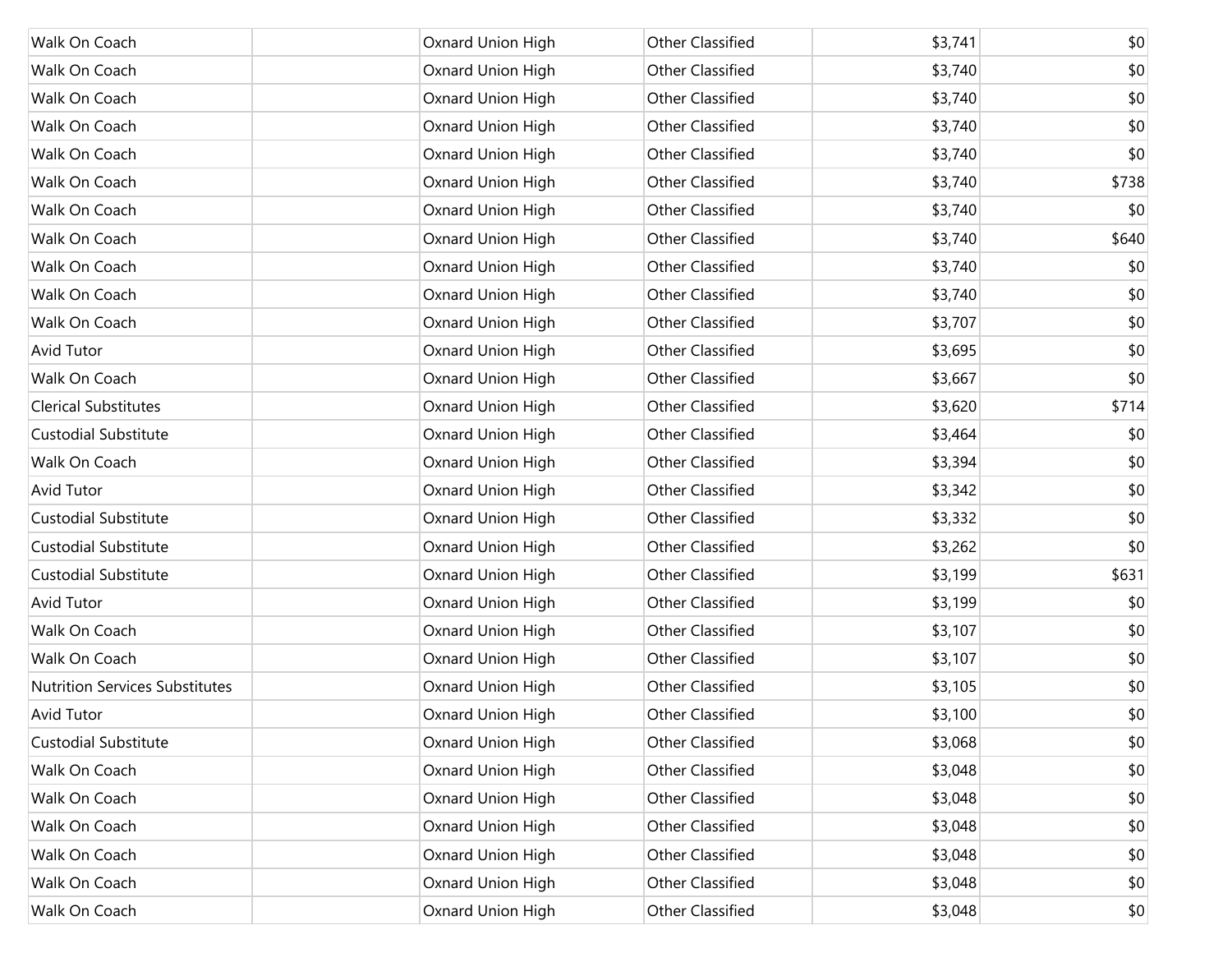| Walk On Coach                         | Oxnard Union High | Other Classified        | \$3,741 | \$0   |
|---------------------------------------|-------------------|-------------------------|---------|-------|
| Walk On Coach                         | Oxnard Union High | <b>Other Classified</b> | \$3,740 | \$0   |
| Walk On Coach                         | Oxnard Union High | Other Classified        | \$3,740 | \$0   |
| Walk On Coach                         | Oxnard Union High | <b>Other Classified</b> | \$3,740 | \$0   |
| Walk On Coach                         | Oxnard Union High | <b>Other Classified</b> | \$3,740 | \$0   |
| Walk On Coach                         | Oxnard Union High | Other Classified        | \$3,740 | \$738 |
| Walk On Coach                         | Oxnard Union High | Other Classified        | \$3,740 | \$0   |
| Walk On Coach                         | Oxnard Union High | Other Classified        | \$3,740 | \$640 |
| Walk On Coach                         | Oxnard Union High | <b>Other Classified</b> | \$3,740 | \$0   |
| Walk On Coach                         | Oxnard Union High | <b>Other Classified</b> | \$3,740 | \$0   |
| Walk On Coach                         | Oxnard Union High | <b>Other Classified</b> | \$3,707 | \$0   |
| <b>Avid Tutor</b>                     | Oxnard Union High | Other Classified        | \$3,695 | \$0   |
| Walk On Coach                         | Oxnard Union High | Other Classified        | \$3,667 | \$0   |
| <b>Clerical Substitutes</b>           | Oxnard Union High | Other Classified        | \$3,620 | \$714 |
| <b>Custodial Substitute</b>           | Oxnard Union High | Other Classified        | \$3,464 | \$0   |
| Walk On Coach                         | Oxnard Union High | Other Classified        | \$3,394 | \$0   |
| <b>Avid Tutor</b>                     | Oxnard Union High | Other Classified        | \$3,342 | \$0   |
| <b>Custodial Substitute</b>           | Oxnard Union High | Other Classified        | \$3,332 | \$0   |
| <b>Custodial Substitute</b>           | Oxnard Union High | Other Classified        | \$3,262 | \$0   |
| <b>Custodial Substitute</b>           | Oxnard Union High | Other Classified        | \$3,199 | \$631 |
| <b>Avid Tutor</b>                     | Oxnard Union High | Other Classified        | \$3,199 | \$0   |
| Walk On Coach                         | Oxnard Union High | Other Classified        | \$3,107 | \$0   |
| Walk On Coach                         | Oxnard Union High | Other Classified        | \$3,107 | \$0   |
| <b>Nutrition Services Substitutes</b> | Oxnard Union High | Other Classified        | \$3,105 | \$0   |
| <b>Avid Tutor</b>                     | Oxnard Union High | <b>Other Classified</b> | \$3,100 | \$0   |
| <b>Custodial Substitute</b>           | Oxnard Union High | Other Classified        | \$3,068 | \$0   |
| Walk On Coach                         | Oxnard Union High | Other Classified        | \$3,048 | \$0   |
| Walk On Coach                         | Oxnard Union High | Other Classified        | \$3,048 | \$0   |
| Walk On Coach                         | Oxnard Union High | Other Classified        | \$3,048 | \$0   |
| Walk On Coach                         | Oxnard Union High | Other Classified        | \$3,048 | \$0   |
| Walk On Coach                         | Oxnard Union High | Other Classified        | \$3,048 | \$0   |
| Walk On Coach                         | Oxnard Union High | Other Classified        | \$3,048 | \$0   |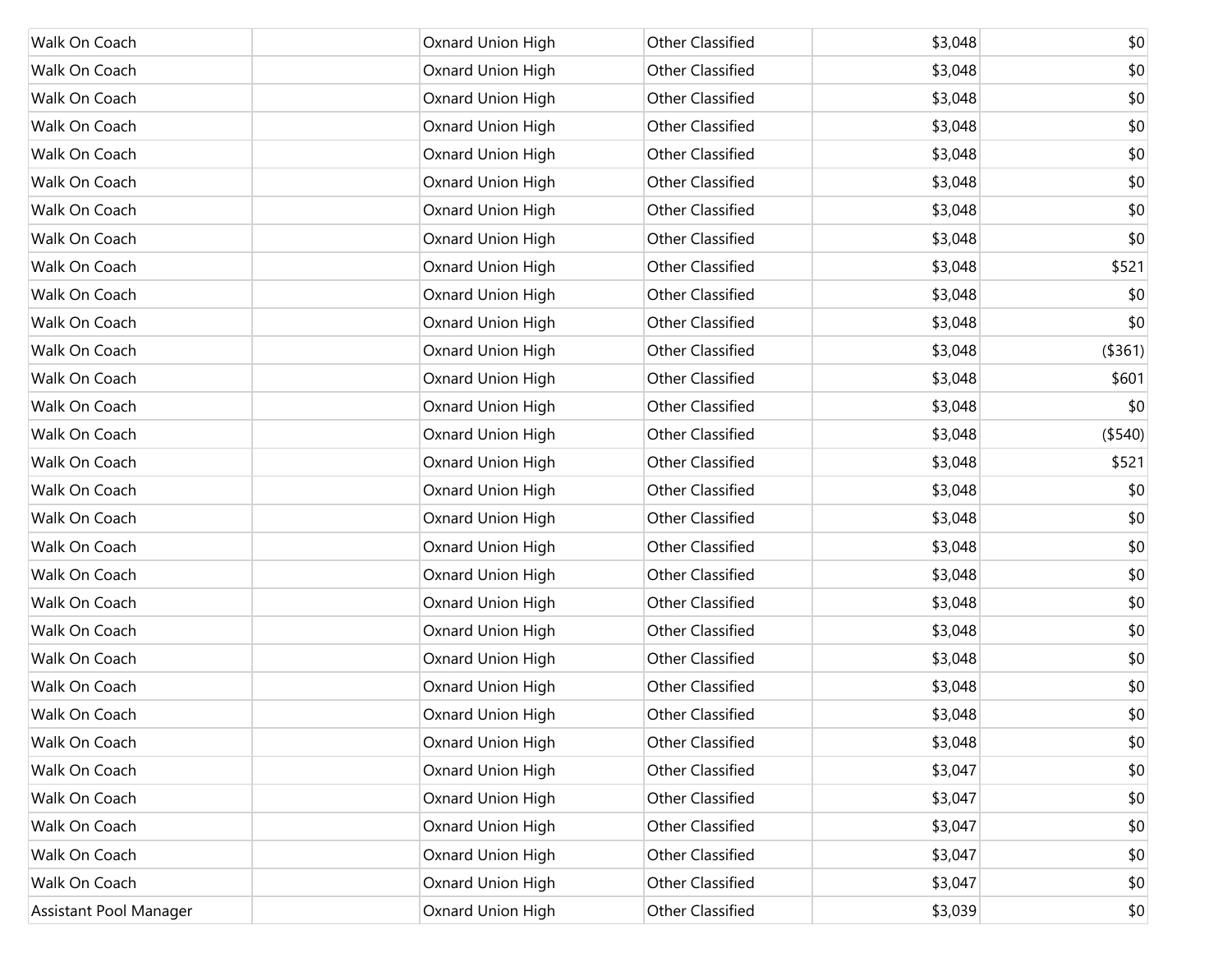| Walk On Coach          | Oxnard Union High        | Other Classified        | \$3,048 | \$0     |
|------------------------|--------------------------|-------------------------|---------|---------|
| Walk On Coach          | Oxnard Union High        | Other Classified        | \$3,048 | \$0     |
| Walk On Coach          | Oxnard Union High        | Other Classified        | \$3,048 | \$0     |
| Walk On Coach          | Oxnard Union High        | Other Classified        | \$3,048 | \$0     |
| Walk On Coach          | Oxnard Union High        | Other Classified        | \$3,048 | \$0     |
| Walk On Coach          | Oxnard Union High        | Other Classified        | \$3,048 | \$0     |
| Walk On Coach          | Oxnard Union High        | Other Classified        | \$3,048 | \$0     |
| Walk On Coach          | Oxnard Union High        | Other Classified        | \$3,048 | \$0     |
| Walk On Coach          | Oxnard Union High        | Other Classified        | \$3,048 | \$521   |
| Walk On Coach          | Oxnard Union High        | Other Classified        | \$3,048 | \$0     |
| Walk On Coach          | Oxnard Union High        | Other Classified        | \$3,048 | \$0     |
| Walk On Coach          | Oxnard Union High        | Other Classified        | \$3,048 | (\$361) |
| Walk On Coach          | Oxnard Union High        | Other Classified        | \$3,048 | \$601   |
| Walk On Coach          | Oxnard Union High        | Other Classified        | \$3,048 | \$0     |
| Walk On Coach          | Oxnard Union High        | Other Classified        | \$3,048 | (\$540) |
| Walk On Coach          | Oxnard Union High        | Other Classified        | \$3,048 | \$521   |
| Walk On Coach          | Oxnard Union High        | Other Classified        | \$3,048 | \$0     |
| Walk On Coach          | Oxnard Union High        | Other Classified        | \$3,048 | \$0     |
| Walk On Coach          | Oxnard Union High        | Other Classified        | \$3,048 | \$0     |
| Walk On Coach          | Oxnard Union High        | Other Classified        | \$3,048 | \$0     |
| Walk On Coach          | Oxnard Union High        | Other Classified        | \$3,048 | \$0     |
| Walk On Coach          | Oxnard Union High        | Other Classified        | \$3,048 | \$0     |
| Walk On Coach          | Oxnard Union High        | Other Classified        | \$3,048 | \$0     |
| Walk On Coach          | Oxnard Union High        | Other Classified        | \$3,048 | \$0     |
| Walk On Coach          | <b>Oxnard Union High</b> | <b>Other Classified</b> | \$3,048 | \$0     |
| Walk On Coach          | Oxnard Union High        | Other Classified        | \$3,048 | \$0     |
| Walk On Coach          | Oxnard Union High        | Other Classified        | \$3,047 | \$0     |
| Walk On Coach          | Oxnard Union High        | Other Classified        | \$3,047 | \$0     |
| Walk On Coach          | Oxnard Union High        | Other Classified        | \$3,047 | \$0     |
| Walk On Coach          | Oxnard Union High        | Other Classified        | \$3,047 | \$0     |
| Walk On Coach          | Oxnard Union High        | Other Classified        | \$3,047 | \$0     |
| Assistant Pool Manager | Oxnard Union High        | Other Classified        | \$3,039 | \$0     |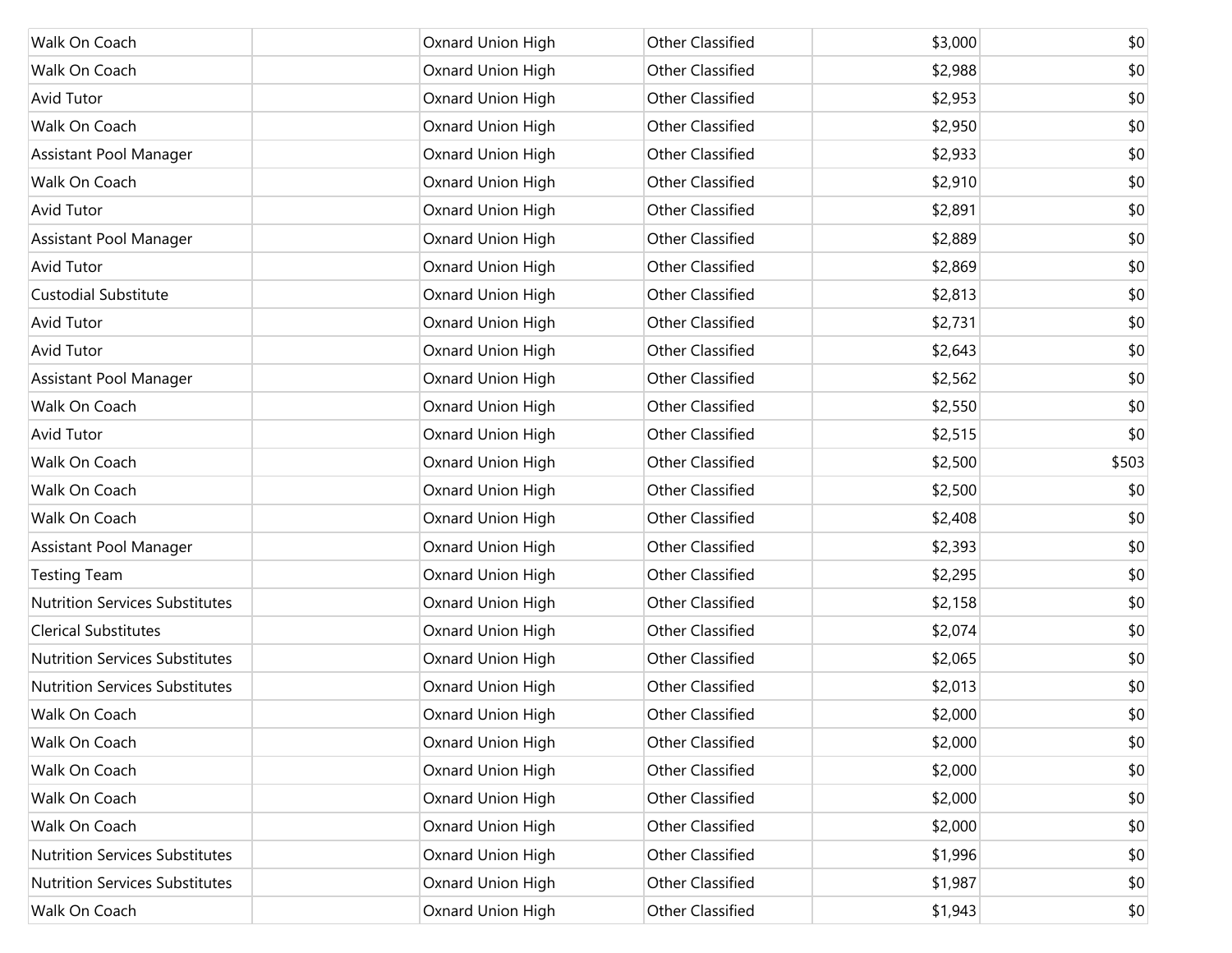| Walk On Coach                         | Oxnard Union High | <b>Other Classified</b> | \$3,000 | \$0   |
|---------------------------------------|-------------------|-------------------------|---------|-------|
| Walk On Coach                         | Oxnard Union High | <b>Other Classified</b> | \$2,988 | \$0   |
| Avid Tutor                            | Oxnard Union High | <b>Other Classified</b> | \$2,953 | \$0   |
| Walk On Coach                         | Oxnard Union High | <b>Other Classified</b> | \$2,950 | \$0   |
| Assistant Pool Manager                | Oxnard Union High | <b>Other Classified</b> | \$2,933 | \$0   |
| Walk On Coach                         | Oxnard Union High | <b>Other Classified</b> | \$2,910 | \$0   |
| <b>Avid Tutor</b>                     | Oxnard Union High | <b>Other Classified</b> | \$2,891 | \$0   |
| Assistant Pool Manager                | Oxnard Union High | <b>Other Classified</b> | \$2,889 | \$0   |
| <b>Avid Tutor</b>                     | Oxnard Union High | <b>Other Classified</b> | \$2,869 | \$0   |
| <b>Custodial Substitute</b>           | Oxnard Union High | <b>Other Classified</b> | \$2,813 | \$0   |
| <b>Avid Tutor</b>                     | Oxnard Union High | <b>Other Classified</b> | \$2,731 | \$0   |
| <b>Avid Tutor</b>                     | Oxnard Union High | <b>Other Classified</b> | \$2,643 | \$0   |
| Assistant Pool Manager                | Oxnard Union High | <b>Other Classified</b> | \$2,562 | \$0   |
| Walk On Coach                         | Oxnard Union High | <b>Other Classified</b> | \$2,550 | \$0   |
| Avid Tutor                            | Oxnard Union High | <b>Other Classified</b> | \$2,515 | \$0   |
| Walk On Coach                         | Oxnard Union High | <b>Other Classified</b> | \$2,500 | \$503 |
| Walk On Coach                         | Oxnard Union High | <b>Other Classified</b> | \$2,500 | \$0   |
| Walk On Coach                         | Oxnard Union High | <b>Other Classified</b> | \$2,408 | \$0   |
| Assistant Pool Manager                | Oxnard Union High | <b>Other Classified</b> | \$2,393 | \$0   |
| <b>Testing Team</b>                   | Oxnard Union High | Other Classified        | \$2,295 | \$0   |
| <b>Nutrition Services Substitutes</b> | Oxnard Union High | <b>Other Classified</b> | \$2,158 | \$0   |
| <b>Clerical Substitutes</b>           | Oxnard Union High | <b>Other Classified</b> | \$2,074 | \$0   |
| <b>Nutrition Services Substitutes</b> | Oxnard Union High | <b>Other Classified</b> | \$2,065 | \$0   |
| <b>Nutrition Services Substitutes</b> | Oxnard Union High | <b>Other Classified</b> | \$2,013 | \$0   |
| Walk On Coach                         | Oxnard Union High | <b>Other Classified</b> | \$2,000 | \$0   |
| Walk On Coach                         | Oxnard Union High | <b>Other Classified</b> | \$2,000 | \$0   |
| Walk On Coach                         | Oxnard Union High | Other Classified        | \$2,000 | \$0   |
| Walk On Coach                         | Oxnard Union High | Other Classified        | \$2,000 | \$0   |
| Walk On Coach                         | Oxnard Union High | Other Classified        | \$2,000 | \$0   |
| <b>Nutrition Services Substitutes</b> | Oxnard Union High | Other Classified        | \$1,996 | \$0   |
| Nutrition Services Substitutes        | Oxnard Union High | Other Classified        | \$1,987 | \$0   |
| Walk On Coach                         | Oxnard Union High | Other Classified        | \$1,943 | \$0   |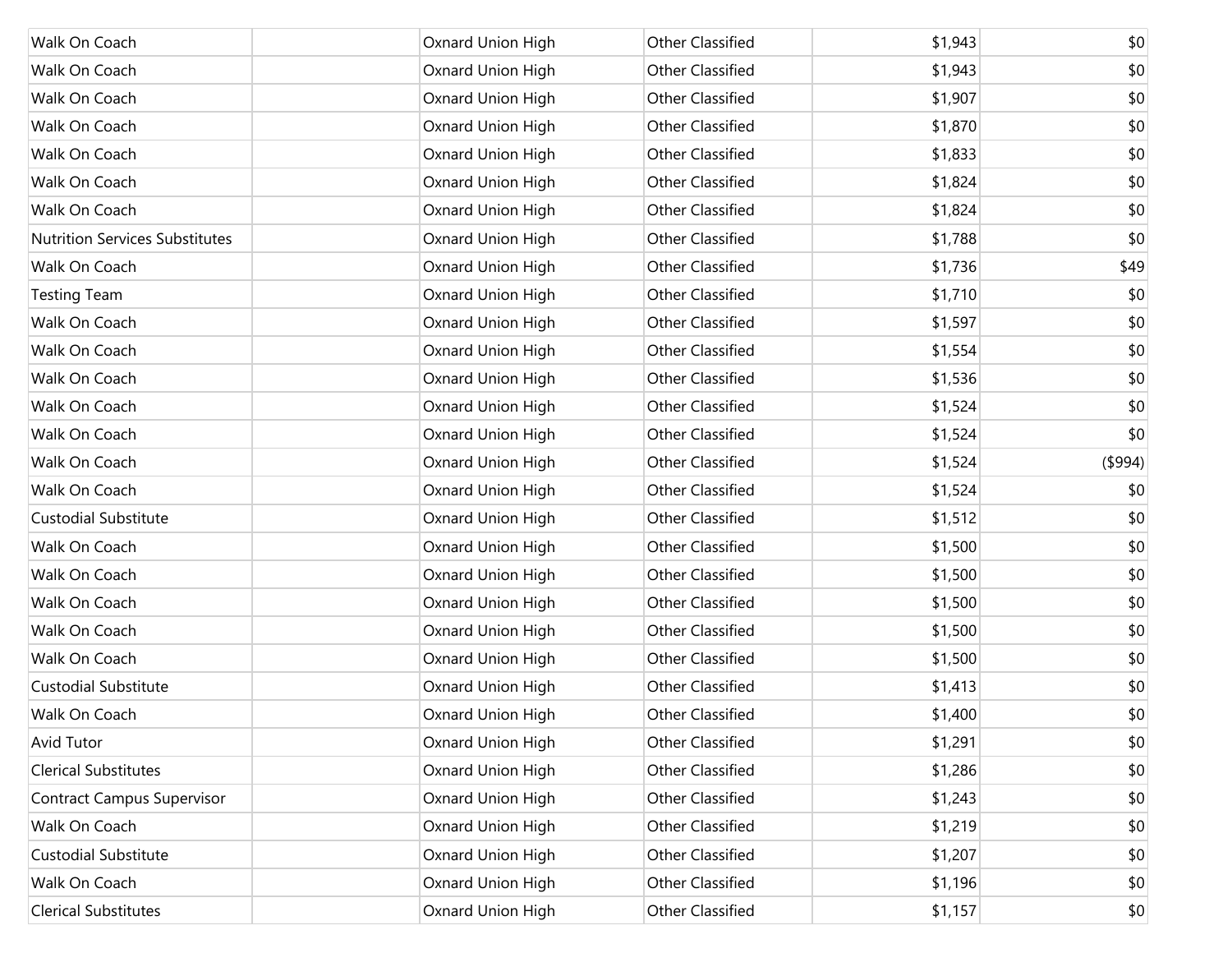| Walk On Coach                         | Oxnard Union High | Other Classified | \$1,943 | \$0     |
|---------------------------------------|-------------------|------------------|---------|---------|
| Walk On Coach                         | Oxnard Union High | Other Classified | \$1,943 | \$0     |
| Walk On Coach                         | Oxnard Union High | Other Classified | \$1,907 | \$0     |
| Walk On Coach                         | Oxnard Union High | Other Classified | \$1,870 | \$0     |
| Walk On Coach                         | Oxnard Union High | Other Classified | \$1,833 | \$0     |
| Walk On Coach                         | Oxnard Union High | Other Classified | \$1,824 | \$0     |
| Walk On Coach                         | Oxnard Union High | Other Classified | \$1,824 | \$0     |
| <b>Nutrition Services Substitutes</b> | Oxnard Union High | Other Classified | \$1,788 | \$0     |
| Walk On Coach                         | Oxnard Union High | Other Classified | \$1,736 | \$49    |
| <b>Testing Team</b>                   | Oxnard Union High | Other Classified | \$1,710 | \$0     |
| Walk On Coach                         | Oxnard Union High | Other Classified | \$1,597 | \$0     |
| Walk On Coach                         | Oxnard Union High | Other Classified | \$1,554 | \$0     |
| Walk On Coach                         | Oxnard Union High | Other Classified | \$1,536 | \$0     |
| Walk On Coach                         | Oxnard Union High | Other Classified | \$1,524 | \$0     |
| Walk On Coach                         | Oxnard Union High | Other Classified | \$1,524 | \$0     |
| Walk On Coach                         | Oxnard Union High | Other Classified | \$1,524 | (\$994) |
| Walk On Coach                         | Oxnard Union High | Other Classified | \$1,524 | \$0     |
| <b>Custodial Substitute</b>           | Oxnard Union High | Other Classified | \$1,512 | \$0     |
| Walk On Coach                         | Oxnard Union High | Other Classified | \$1,500 | \$0     |
| Walk On Coach                         | Oxnard Union High | Other Classified | \$1,500 | \$0     |
| Walk On Coach                         | Oxnard Union High | Other Classified | \$1,500 | \$0     |
| Walk On Coach                         | Oxnard Union High | Other Classified | \$1,500 | \$0     |
| Walk On Coach                         | Oxnard Union High | Other Classified | \$1,500 | \$0     |
| <b>Custodial Substitute</b>           | Oxnard Union High | Other Classified | \$1,413 | \$0     |
| Walk On Coach                         | Oxnard Union High | Other Classified | \$1,400 | \$0     |
| <b>Avid Tutor</b>                     | Oxnard Union High | Other Classified | \$1,291 | \$0     |
| <b>Clerical Substitutes</b>           | Oxnard Union High | Other Classified | \$1,286 | \$0     |
| <b>Contract Campus Supervisor</b>     | Oxnard Union High | Other Classified | \$1,243 | \$0     |
| Walk On Coach                         | Oxnard Union High | Other Classified | \$1,219 | \$0     |
| <b>Custodial Substitute</b>           | Oxnard Union High | Other Classified | \$1,207 | \$0     |
| Walk On Coach                         | Oxnard Union High | Other Classified | \$1,196 | \$0     |
| <b>Clerical Substitutes</b>           | Oxnard Union High | Other Classified | \$1,157 | \$0     |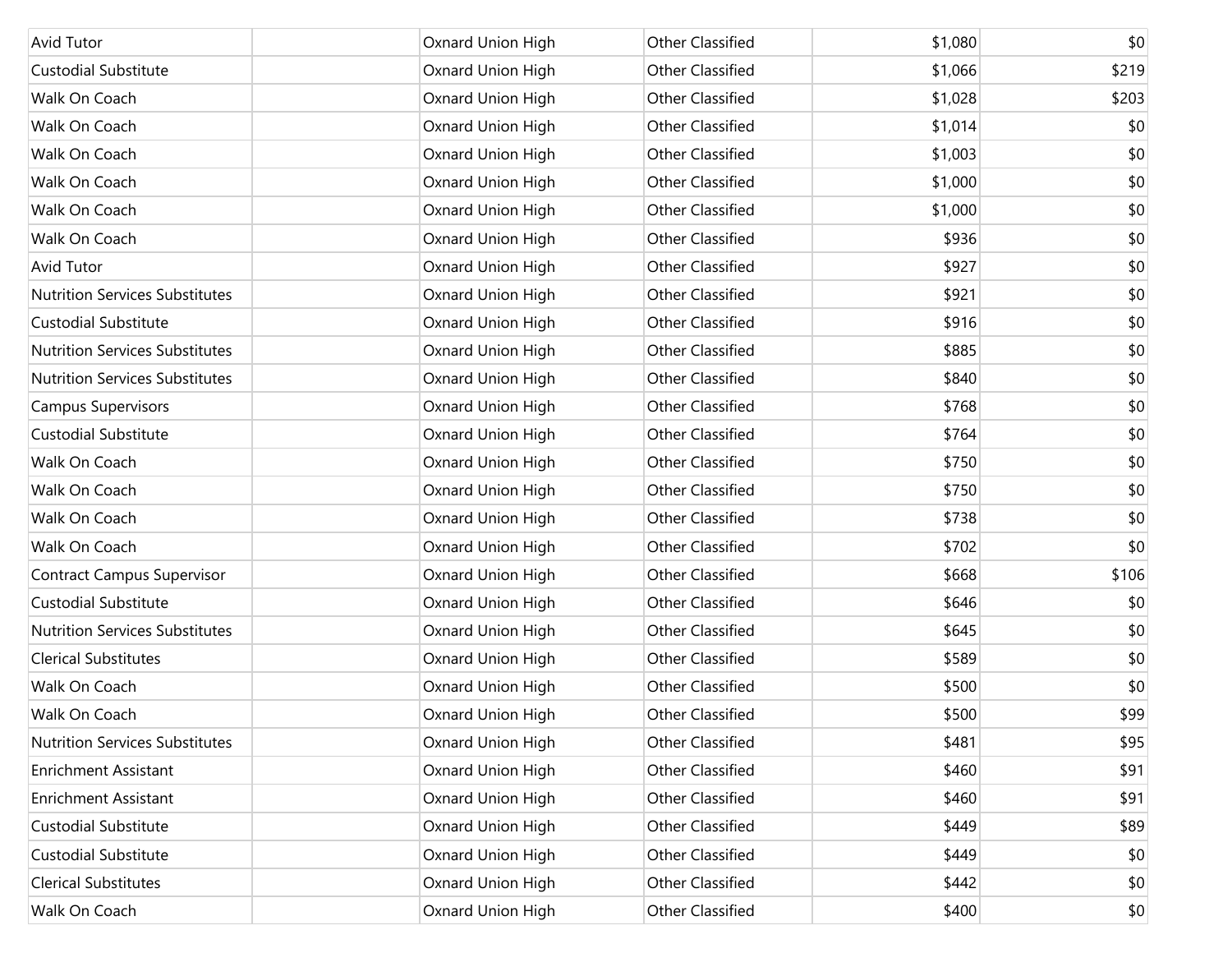| Avid Tutor                            | Oxnard Union High | <b>Other Classified</b> | \$1,080 | \$0   |
|---------------------------------------|-------------------|-------------------------|---------|-------|
| <b>Custodial Substitute</b>           | Oxnard Union High | <b>Other Classified</b> | \$1,066 | \$219 |
| Walk On Coach                         | Oxnard Union High | <b>Other Classified</b> | \$1,028 | \$203 |
| Walk On Coach                         | Oxnard Union High | <b>Other Classified</b> | \$1,014 | \$0   |
| Walk On Coach                         | Oxnard Union High | <b>Other Classified</b> | \$1,003 | \$0   |
| Walk On Coach                         | Oxnard Union High | <b>Other Classified</b> | \$1,000 | \$0   |
| Walk On Coach                         | Oxnard Union High | <b>Other Classified</b> | \$1,000 | \$0   |
| Walk On Coach                         | Oxnard Union High | <b>Other Classified</b> | \$936   | \$0   |
| Avid Tutor                            | Oxnard Union High | <b>Other Classified</b> | \$927   | \$0   |
| <b>Nutrition Services Substitutes</b> | Oxnard Union High | <b>Other Classified</b> | \$921   | \$0   |
| <b>Custodial Substitute</b>           | Oxnard Union High | <b>Other Classified</b> | \$916   | \$0   |
| <b>Nutrition Services Substitutes</b> | Oxnard Union High | <b>Other Classified</b> | \$885   | \$0   |
| <b>Nutrition Services Substitutes</b> | Oxnard Union High | <b>Other Classified</b> | \$840   | \$0   |
| <b>Campus Supervisors</b>             | Oxnard Union High | <b>Other Classified</b> | \$768   | \$0   |
| <b>Custodial Substitute</b>           | Oxnard Union High | <b>Other Classified</b> | \$764   | \$0   |
| Walk On Coach                         | Oxnard Union High | <b>Other Classified</b> | \$750   | \$0   |
| Walk On Coach                         | Oxnard Union High | <b>Other Classified</b> | \$750   | \$0   |
| Walk On Coach                         | Oxnard Union High | <b>Other Classified</b> | \$738   | \$0   |
| Walk On Coach                         | Oxnard Union High | <b>Other Classified</b> | \$702   | \$0   |
| <b>Contract Campus Supervisor</b>     | Oxnard Union High | <b>Other Classified</b> | \$668   | \$106 |
| <b>Custodial Substitute</b>           | Oxnard Union High | <b>Other Classified</b> | \$646   | \$0   |
| <b>Nutrition Services Substitutes</b> | Oxnard Union High | Other Classified        | \$645   | \$0   |
| <b>Clerical Substitutes</b>           | Oxnard Union High | <b>Other Classified</b> | \$589   | \$0   |
| Walk On Coach                         | Oxnard Union High | <b>Other Classified</b> | \$500   | \$0   |
| Walk On Coach                         | Oxnard Union High | <b>Other Classified</b> | \$500   | \$99  |
| <b>Nutrition Services Substitutes</b> | Oxnard Union High | Other Classified        | \$481   | \$95  |
| <b>Enrichment Assistant</b>           | Oxnard Union High | Other Classified        | \$460   | \$91  |
| <b>Enrichment Assistant</b>           | Oxnard Union High | Other Classified        | \$460   | \$91  |
| <b>Custodial Substitute</b>           | Oxnard Union High | Other Classified        | \$449   | \$89  |
| <b>Custodial Substitute</b>           | Oxnard Union High | Other Classified        | \$449   | \$0   |
| <b>Clerical Substitutes</b>           | Oxnard Union High | Other Classified        | \$442   | \$0   |
| Walk On Coach                         | Oxnard Union High | Other Classified        | \$400   | \$0   |